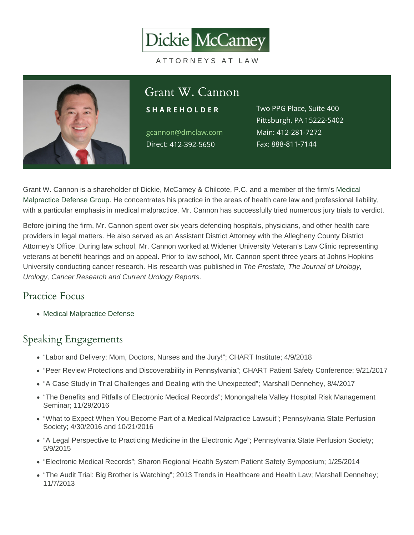# Grant W. Cannon

S H A R E H O L D E RWO PPG Place, Suite 400 gcannon@dmclaw.com Main4:12-281-7272 Direc4t12-392-5650 Pittsburgh, PA 15222-5402 Fax: 888-811-7144

Grant W. Cannon is a shareholder of Dickie, McCamey & Chilcote, P.C. and a member of the firm's [Medical](/practices/medical-malpractice-defense/)  [Malpractice Defense Group.](/practices/medical-malpractice-defense/) He concentrates his practice in the areas of health care law and professional liability, with a particular emphasis in medical malpractice. Mr. Cannon has successfully tried numerous jury trials to verdict.

Before joining the firm, Mr. Cannon spent over six years defending hospitals, physicians, and other health care providers in legal matters. He also served as an Assistant District Attorney with the Allegheny County District Attorney's Office. During law school, Mr. Cannon worked at Widener University Veteran's Law Clinic representing veterans at benefit hearings and on appeal. Prior to law school, Mr. Cannon spent three years at Johns Hopkins University conducting cancer research. His research was published in The Prostate, The Journal of Urology, Urology, Cancer Research and Current Urology Reports.

### Practice Focus

• [Medical Malpractice Defense](https://www.dmclaw.com/practices/medical-malpractice-defense/)

#### Speaking Engagements

- "Labor and Delivery: Mom, Doctors, Nurses and the Jury!"; CHART Institute; 4/9/2018
- "Peer Review Protections and Discoverability in Pennsylvania"; CHART Patient Safety Conference; 9/21/2017
- "A Case Study in Trial Challenges and Dealing with the Unexpected"; Marshall Dennehey, 8/4/2017
- "The Benefits and Pitfalls of Electronic Medical Records"; Monongahela Valley Hospital Risk Management Seminar; 11/29/2016
- "What to Expect When You Become Part of a Medical Malpractice Lawsuit"; Pennsylvania State Perfusion Society; 4/30/2016 and 10/21/2016
- "A Legal Perspective to Practicing Medicine in the Electronic Age"; Pennsylvania State Perfusion Society; 5/9/2015
- "Electronic Medical Records"; Sharon Regional Health System Patient Safety Symposium; 1/25/2014
- "The Audit Trial: Big Brother is Watching"; 2013 Trends in Healthcare and Health Law; Marshall Dennehey; 11/7/2013